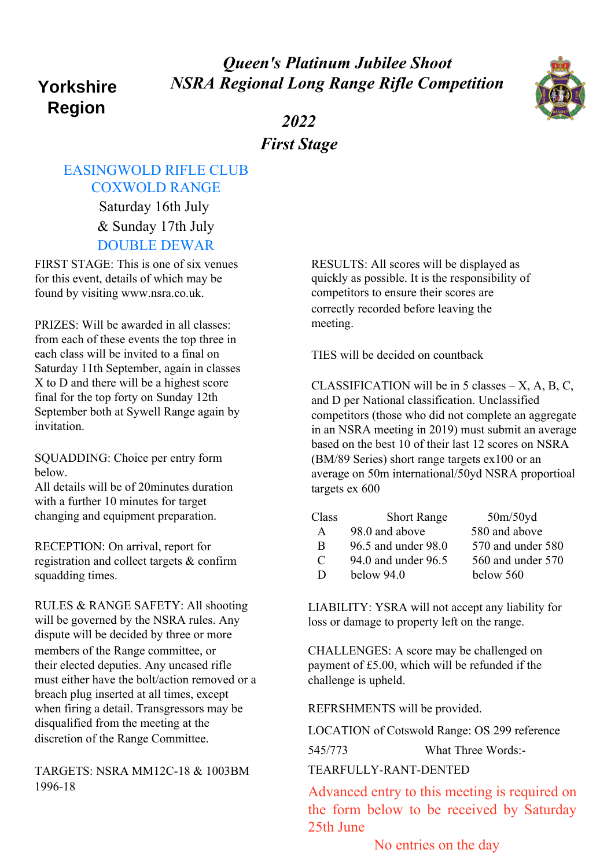## *Queen's Platinum Jubilee Shoot NSRA Regional Long Range Rifle Competition*

# **Yorkshire Region**



*2022 First Stage*

### EASINGWOLD RIFLE CLUB COXWOLD RANGE

Saturday 16th July & Sunday 17th July DOUBLE DEWAR

FIRST STAGE: This is one of six venues for this event, details of which may be found by visiting www.nsra.co.uk.

PRIZES: Will be awarded in all classes: from each of these events the top three in each class will be invited to a final on Saturday 11th September, again in classes X to D and there will be a highest score final for the top forty on Sunday 12th September both at Sywell Range again by invitation.

SQUADDING: Choice per entry form below.

All details will be of 20minutes duration with a further 10 minutes for target changing and equipment preparation.

RECEPTION: On arrival, report for registration and collect targets & confirm squadding times.

RULES & RANGE SAFETY: All shooting will be governed by the NSRA rules. Any dispute will be decided by three or more members of the Range committee, or their elected deputies. Any uncased rifle must either have the bolt/action removed or a breach plug inserted at all times, except when firing a detail. Transgressors may be disqualified from the meeting at the discretion of the Range Committee.

TARGETS: NSRA MM12C-18 & 1003BM 1996-18

RESULTS: All scores will be displayed as quickly as possible. It is the responsibility of competitors to ensure their scores are correctly recorded before leaving the meeting.

TIES will be decided on countback

CLASSIFICATION will be in  $5$  classes  $- X$ , A, B, C, and D per National classification. Unclassified competitors (those who did not complete an aggregate in an NSRA meeting in 2019) must submit an average based on the best 10 of their last 12 scores on NSRA (BM/89 Series) short range targets ex100 or an average on 50m international/50yd NSRA proportioal targets ex 600

| Class | <b>Short Range</b>  | 50m/50yd          |
|-------|---------------------|-------------------|
| A     | 98.0 and above      | 580 and above     |
| B     | 96.5 and under 98.0 | 570 and under 580 |
| C     | 94.0 and under 96.5 | 560 and under 570 |
| D     | below $94.0$        | below 560         |

LIABILITY: YSRA will not accept any liability for loss or damage to property left on the range.

CHALLENGES: A score may be challenged on payment of £5.00, which will be refunded if the challenge is upheld.

REFRSHMENTS will be provided.

LOCATION of Cotswold Range: OS 299 reference

545/773 What Three Words:-

#### TEARFULLY-RANT-DENTED

Advanced entry to this meeting is required on the form below to be received by Saturday 25th June

No entries on the day